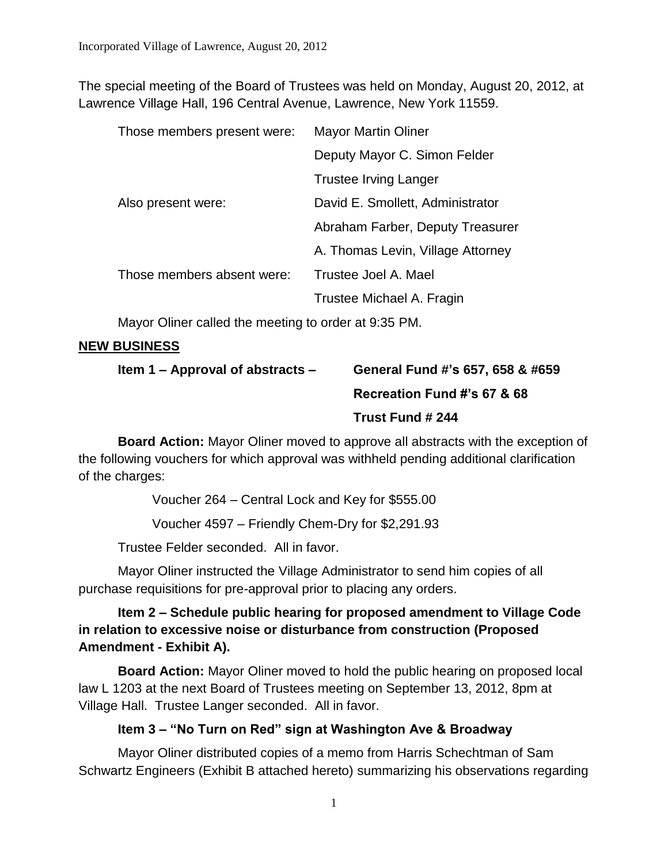The special meeting of the Board of Trustees was held on Monday, August 20, 2012, at Lawrence Village Hall, 196 Central Avenue, Lawrence, New York 11559.

| Those members present were: | <b>Mayor Martin Oliner</b>        |
|-----------------------------|-----------------------------------|
|                             | Deputy Mayor C. Simon Felder      |
|                             | <b>Trustee Irving Langer</b>      |
| Also present were:          | David E. Smollett, Administrator  |
|                             | Abraham Farber, Deputy Treasurer  |
|                             | A. Thomas Levin, Village Attorney |
| Those members absent were:  | Trustee Joel A. Mael              |
|                             | Trustee Michael A. Fragin         |

Mayor Oliner called the meeting to order at 9:35 PM.

### **NEW BUSINESS**

| Item $1 -$ Approval of abstracts $-$ | General Fund #'s 657, 658 & #659                                                    |
|--------------------------------------|-------------------------------------------------------------------------------------|
|                                      | Recreation Fund #'s 67 & 68                                                         |
|                                      | Trust Fund # 244                                                                    |
|                                      | <b>Board Action:</b> Mayor Oliner moved to approve all abstracts with the exception |

**Board Action:** Mayor Oliner moved to approve all abstracts with the exception of the following vouchers for which approval was withheld pending additional clarification of the charges:

Voucher 264 – Central Lock and Key for \$555.00

Voucher 4597 – Friendly Chem-Dry for \$2,291.93

Trustee Felder seconded. All in favor.

Mayor Oliner instructed the Village Administrator to send him copies of all purchase requisitions for pre-approval prior to placing any orders.

# **Item 2 – Schedule public hearing for proposed amendment to Village Code in relation to excessive noise or disturbance from construction (Proposed Amendment - Exhibit A).**

**Board Action:** Mayor Oliner moved to hold the public hearing on proposed local law L 1203 at the next Board of Trustees meeting on September 13, 2012, 8pm at Village Hall. Trustee Langer seconded. All in favor.

# **Item 3 – "No Turn on Red" sign at Washington Ave & Broadway**

Mayor Oliner distributed copies of a memo from Harris Schechtman of Sam Schwartz Engineers (Exhibit B attached hereto) summarizing his observations regarding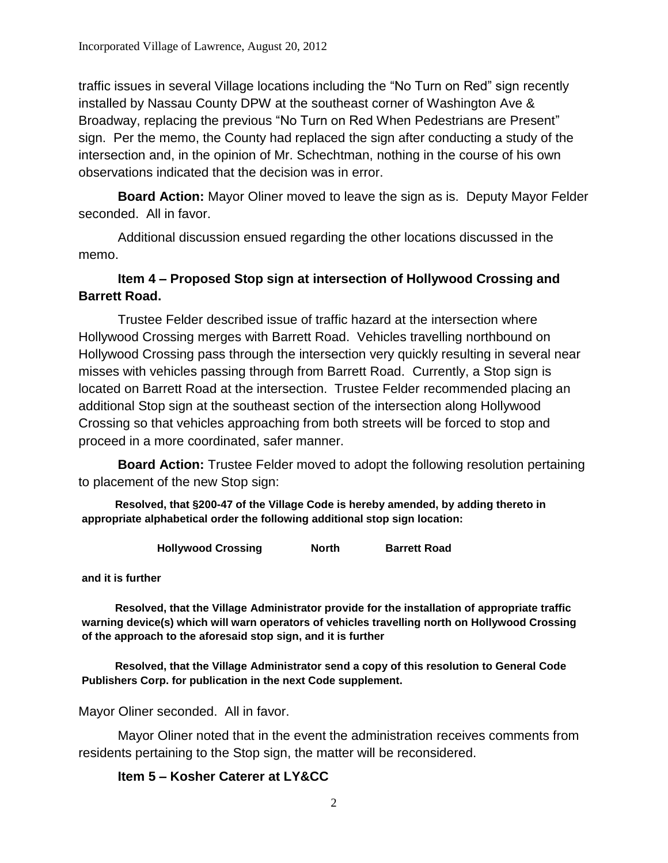traffic issues in several Village locations including the "No Turn on Red" sign recently installed by Nassau County DPW at the southeast corner of Washington Ave & Broadway, replacing the previous "No Turn on Red When Pedestrians are Present" sign. Per the memo, the County had replaced the sign after conducting a study of the intersection and, in the opinion of Mr. Schechtman, nothing in the course of his own observations indicated that the decision was in error.

**Board Action:** Mayor Oliner moved to leave the sign as is. Deputy Mayor Felder seconded. All in favor.

Additional discussion ensued regarding the other locations discussed in the memo.

# **Item 4 – Proposed Stop sign at intersection of Hollywood Crossing and Barrett Road.**

Trustee Felder described issue of traffic hazard at the intersection where Hollywood Crossing merges with Barrett Road. Vehicles travelling northbound on Hollywood Crossing pass through the intersection very quickly resulting in several near misses with vehicles passing through from Barrett Road. Currently, a Stop sign is located on Barrett Road at the intersection. Trustee Felder recommended placing an additional Stop sign at the southeast section of the intersection along Hollywood Crossing so that vehicles approaching from both streets will be forced to stop and proceed in a more coordinated, safer manner.

**Board Action:** Trustee Felder moved to adopt the following resolution pertaining to placement of the new Stop sign:

**Resolved, that §200-47 of the Village Code is hereby amended, by adding thereto in appropriate alphabetical order the following additional stop sign location:**

**Hollywood Crossing North Barrett Road**

**and it is further**

**Resolved, that the Village Administrator provide for the installation of appropriate traffic warning device(s) which will warn operators of vehicles travelling north on Hollywood Crossing of the approach to the aforesaid stop sign, and it is further**

**Resolved, that the Village Administrator send a copy of this resolution to General Code Publishers Corp. for publication in the next Code supplement.**

Mayor Oliner seconded. All in favor.

Mayor Oliner noted that in the event the administration receives comments from residents pertaining to the Stop sign, the matter will be reconsidered.

#### **Item 5 – Kosher Caterer at LY&CC**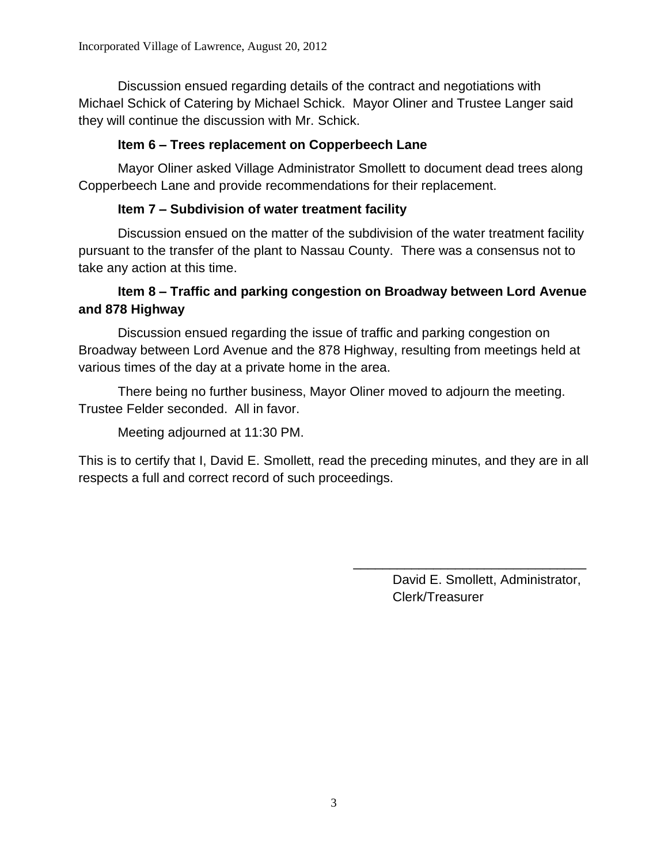Discussion ensued regarding details of the contract and negotiations with Michael Schick of Catering by Michael Schick. Mayor Oliner and Trustee Langer said they will continue the discussion with Mr. Schick.

### **Item 6 – Trees replacement on Copperbeech Lane**

Mayor Oliner asked Village Administrator Smollett to document dead trees along Copperbeech Lane and provide recommendations for their replacement.

### **Item 7 – Subdivision of water treatment facility**

Discussion ensued on the matter of the subdivision of the water treatment facility pursuant to the transfer of the plant to Nassau County. There was a consensus not to take any action at this time.

### **Item 8 – Traffic and parking congestion on Broadway between Lord Avenue and 878 Highway**

Discussion ensued regarding the issue of traffic and parking congestion on Broadway between Lord Avenue and the 878 Highway, resulting from meetings held at various times of the day at a private home in the area.

There being no further business, Mayor Oliner moved to adjourn the meeting. Trustee Felder seconded. All in favor.

Meeting adjourned at 11:30 PM.

This is to certify that I, David E. Smollett, read the preceding minutes, and they are in all respects a full and correct record of such proceedings.

> David E. Smollett, Administrator, Clerk/Treasurer

\_\_\_\_\_\_\_\_\_\_\_\_\_\_\_\_\_\_\_\_\_\_\_\_\_\_\_\_\_\_\_\_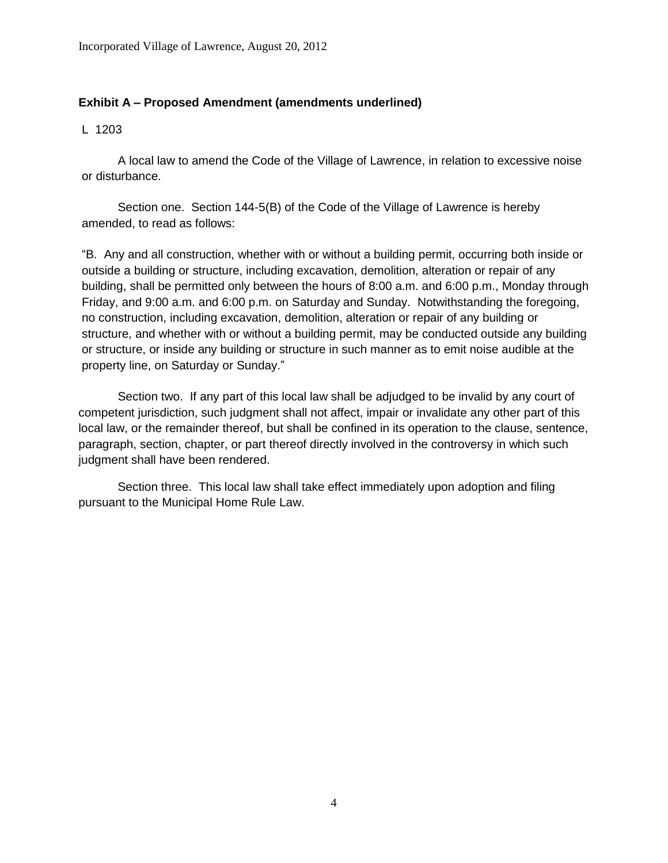#### **Exhibit A – Proposed Amendment (amendments underlined)**

L 1203

A local law to amend the Code of the Village of Lawrence, in relation to excessive noise or disturbance.

Section one. Section 144-5(B) of the Code of the Village of Lawrence is hereby amended, to read as follows:

"B. Any and all construction, whether with or without a building permit, occurring both inside or outside a building or structure, including excavation, demolition, alteration or repair of any building, shall be permitted only between the hours of 8:00 a.m. and 6:00 p.m., Monday through Friday, and 9:00 a.m. and 6:00 p.m. on Saturday and Sunday. Notwithstanding the foregoing, no construction, including excavation, demolition, alteration or repair of any building or structure, and whether with or without a building permit, may be conducted outside any building or structure, or inside any building or structure in such manner as to emit noise audible at the property line, on Saturday or Sunday."

Section two. If any part of this local law shall be adjudged to be invalid by any court of competent jurisdiction, such judgment shall not affect, impair or invalidate any other part of this local law, or the remainder thereof, but shall be confined in its operation to the clause, sentence, paragraph, section, chapter, or part thereof directly involved in the controversy in which such judgment shall have been rendered.

Section three. This local law shall take effect immediately upon adoption and filing pursuant to the Municipal Home Rule Law.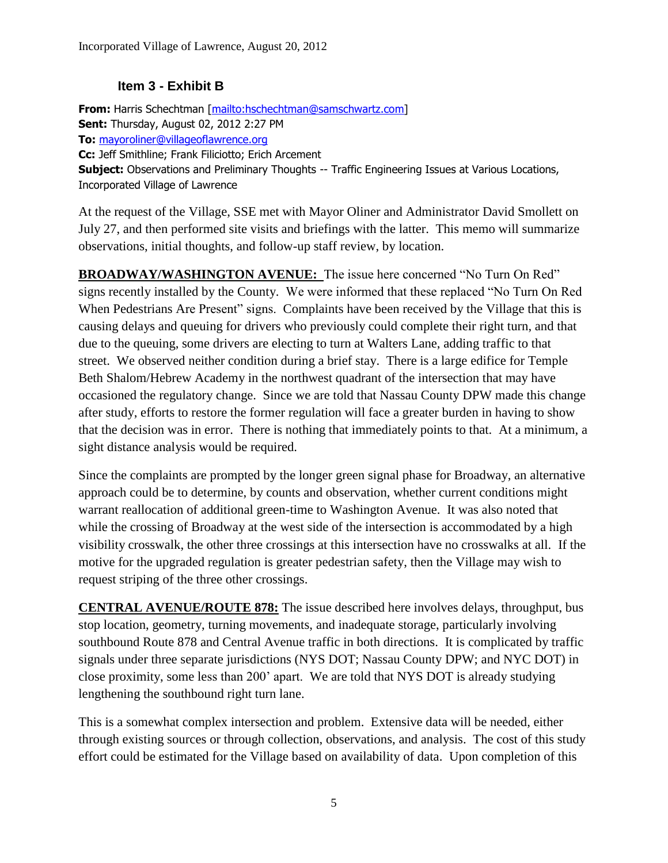### **Item 3 - Exhibit B**

**From:** Harris Schechtman [\[mailto:hschechtman@samschwartz.com\]](mailto:hschechtman@samschwartz.com) **Sent:** Thursday, August 02, 2012 2:27 PM **To:** [mayoroliner@villageoflawrence.org](mailto:mayoroliner@villageoflawrence.org) **Cc:** Jeff Smithline; Frank Filiciotto; Erich Arcement **Subject:** Observations and Preliminary Thoughts -- Traffic Engineering Issues at Various Locations, Incorporated Village of Lawrence

At the request of the Village, SSE met with Mayor Oliner and Administrator David Smollett on July 27, and then performed site visits and briefings with the latter. This memo will summarize observations, initial thoughts, and follow-up staff review, by location.

**BROADWAY/WASHINGTON AVENUE:** The issue here concerned "No Turn On Red" signs recently installed by the County. We were informed that these replaced "No Turn On Red When Pedestrians Are Present" signs. Complaints have been received by the Village that this is causing delays and queuing for drivers who previously could complete their right turn, and that due to the queuing, some drivers are electing to turn at Walters Lane, adding traffic to that street. We observed neither condition during a brief stay. There is a large edifice for Temple Beth Shalom/Hebrew Academy in the northwest quadrant of the intersection that may have occasioned the regulatory change. Since we are told that Nassau County DPW made this change after study, efforts to restore the former regulation will face a greater burden in having to show that the decision was in error. There is nothing that immediately points to that. At a minimum, a sight distance analysis would be required.

Since the complaints are prompted by the longer green signal phase for Broadway, an alternative approach could be to determine, by counts and observation, whether current conditions might warrant reallocation of additional green-time to Washington Avenue. It was also noted that while the crossing of Broadway at the west side of the intersection is accommodated by a high visibility crosswalk, the other three crossings at this intersection have no crosswalks at all. If the motive for the upgraded regulation is greater pedestrian safety, then the Village may wish to request striping of the three other crossings.

**CENTRAL AVENUE/ROUTE 878:** The issue described here involves delays, throughput, bus stop location, geometry, turning movements, and inadequate storage, particularly involving southbound Route 878 and Central Avenue traffic in both directions. It is complicated by traffic signals under three separate jurisdictions (NYS DOT; Nassau County DPW; and NYC DOT) in close proximity, some less than 200' apart. We are told that NYS DOT is already studying lengthening the southbound right turn lane.

This is a somewhat complex intersection and problem. Extensive data will be needed, either through existing sources or through collection, observations, and analysis. The cost of this study effort could be estimated for the Village based on availability of data. Upon completion of this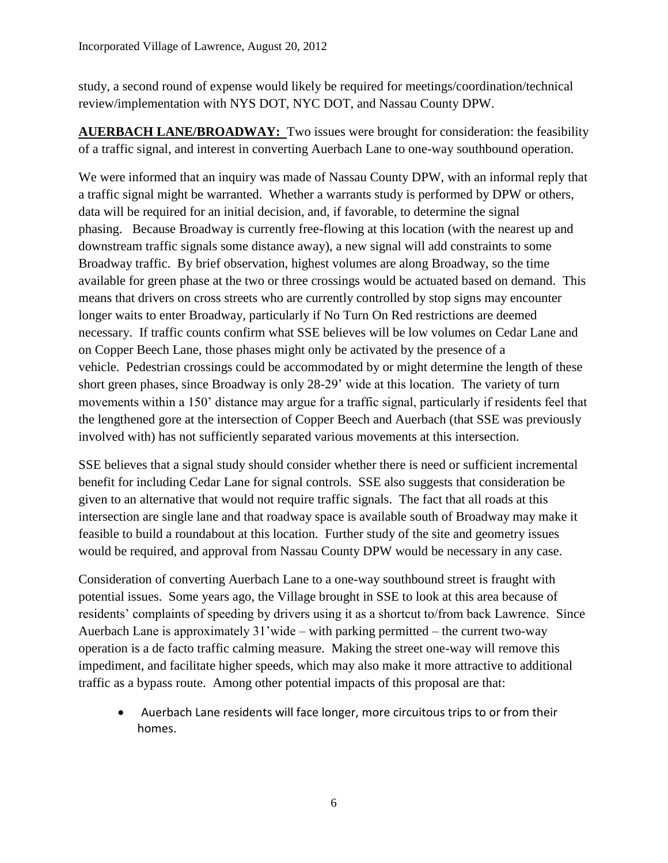study, a second round of expense would likely be required for meetings/coordination/technical review/implementation with NYS DOT, NYC DOT, and Nassau County DPW.

**AUERBACH LANE/BROADWAY:** Two issues were brought for consideration: the feasibility of a traffic signal, and interest in converting Auerbach Lane to one-way southbound operation.

We were informed that an inquiry was made of Nassau County DPW, with an informal reply that a traffic signal might be warranted. Whether a warrants study is performed by DPW or others, data will be required for an initial decision, and, if favorable, to determine the signal phasing. Because Broadway is currently free-flowing at this location (with the nearest up and downstream traffic signals some distance away), a new signal will add constraints to some Broadway traffic. By brief observation, highest volumes are along Broadway, so the time available for green phase at the two or three crossings would be actuated based on demand. This means that drivers on cross streets who are currently controlled by stop signs may encounter longer waits to enter Broadway, particularly if No Turn On Red restrictions are deemed necessary. If traffic counts confirm what SSE believes will be low volumes on Cedar Lane and on Copper Beech Lane, those phases might only be activated by the presence of a vehicle. Pedestrian crossings could be accommodated by or might determine the length of these short green phases, since Broadway is only 28-29' wide at this location. The variety of turn movements within a 150' distance may argue for a traffic signal, particularly if residents feel that the lengthened gore at the intersection of Copper Beech and Auerbach (that SSE was previously involved with) has not sufficiently separated various movements at this intersection.

SSE believes that a signal study should consider whether there is need or sufficient incremental benefit for including Cedar Lane for signal controls. SSE also suggests that consideration be given to an alternative that would not require traffic signals. The fact that all roads at this intersection are single lane and that roadway space is available south of Broadway may make it feasible to build a roundabout at this location. Further study of the site and geometry issues would be required, and approval from Nassau County DPW would be necessary in any case.

Consideration of converting Auerbach Lane to a one-way southbound street is fraught with potential issues. Some years ago, the Village brought in SSE to look at this area because of residents' complaints of speeding by drivers using it as a shortcut to/from back Lawrence. Since Auerbach Lane is approximately 31'wide – with parking permitted – the current two-way operation is a de facto traffic calming measure. Making the street one-way will remove this impediment, and facilitate higher speeds, which may also make it more attractive to additional traffic as a bypass route. Among other potential impacts of this proposal are that:

 Auerbach Lane residents will face longer, more circuitous trips to or from their homes.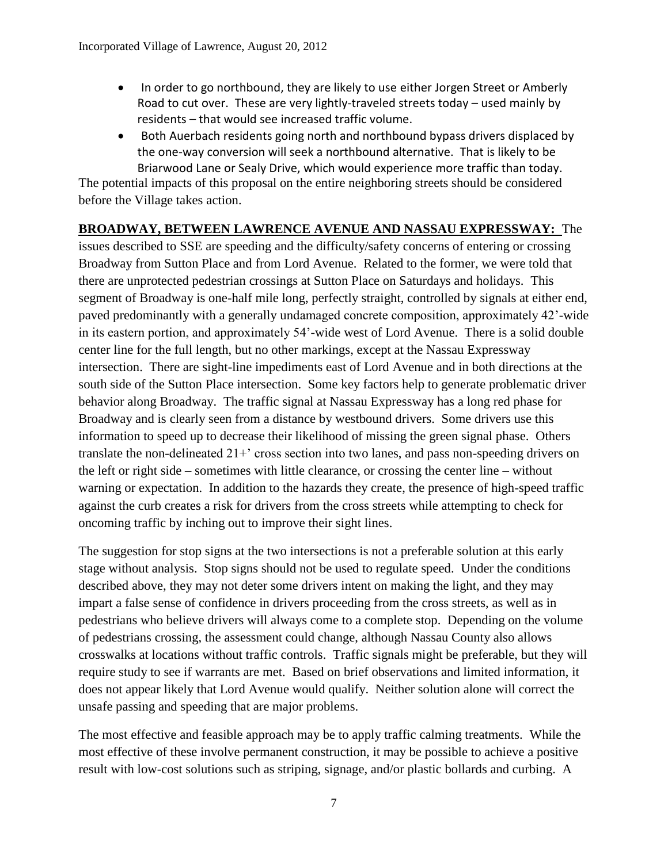- In order to go northbound, they are likely to use either Jorgen Street or Amberly Road to cut over. These are very lightly-traveled streets today – used mainly by residents – that would see increased traffic volume.
- Both Auerbach residents going north and northbound bypass drivers displaced by the one-way conversion will seek a northbound alternative. That is likely to be Briarwood Lane or Sealy Drive, which would experience more traffic than today.

The potential impacts of this proposal on the entire neighboring streets should be considered before the Village takes action.

# **BROADWAY, BETWEEN LAWRENCE AVENUE AND NASSAU EXPRESSWAY:** The

issues described to SSE are speeding and the difficulty/safety concerns of entering or crossing Broadway from Sutton Place and from Lord Avenue. Related to the former, we were told that there are unprotected pedestrian crossings at Sutton Place on Saturdays and holidays. This segment of Broadway is one-half mile long, perfectly straight, controlled by signals at either end, paved predominantly with a generally undamaged concrete composition, approximately 42'-wide in its eastern portion, and approximately 54'-wide west of Lord Avenue. There is a solid double center line for the full length, but no other markings, except at the Nassau Expressway intersection. There are sight-line impediments east of Lord Avenue and in both directions at the south side of the Sutton Place intersection. Some key factors help to generate problematic driver behavior along Broadway. The traffic signal at Nassau Expressway has a long red phase for Broadway and is clearly seen from a distance by westbound drivers. Some drivers use this information to speed up to decrease their likelihood of missing the green signal phase. Others translate the non-delineated 21+' cross section into two lanes, and pass non-speeding drivers on the left or right side – sometimes with little clearance, or crossing the center line – without warning or expectation. In addition to the hazards they create, the presence of high-speed traffic against the curb creates a risk for drivers from the cross streets while attempting to check for oncoming traffic by inching out to improve their sight lines.

The suggestion for stop signs at the two intersections is not a preferable solution at this early stage without analysis. Stop signs should not be used to regulate speed. Under the conditions described above, they may not deter some drivers intent on making the light, and they may impart a false sense of confidence in drivers proceeding from the cross streets, as well as in pedestrians who believe drivers will always come to a complete stop. Depending on the volume of pedestrians crossing, the assessment could change, although Nassau County also allows crosswalks at locations without traffic controls. Traffic signals might be preferable, but they will require study to see if warrants are met. Based on brief observations and limited information, it does not appear likely that Lord Avenue would qualify. Neither solution alone will correct the unsafe passing and speeding that are major problems.

The most effective and feasible approach may be to apply traffic calming treatments. While the most effective of these involve permanent construction, it may be possible to achieve a positive result with low-cost solutions such as striping, signage, and/or plastic bollards and curbing. A